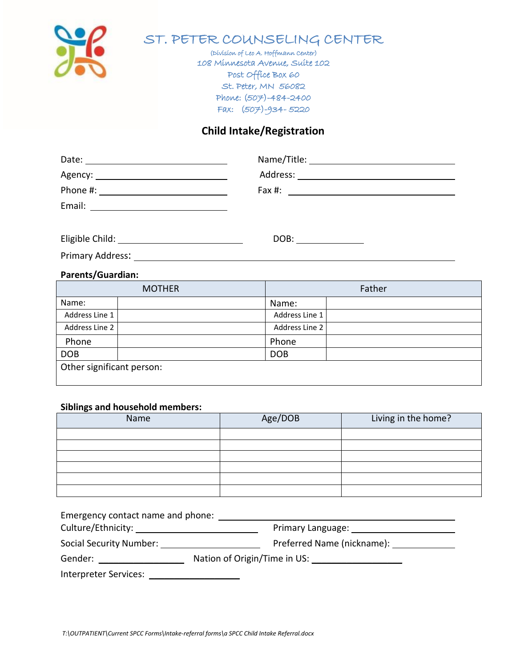

# ST. PETER COUNSELING CENTER

(Division of Leo A. Hoffmann Center) 108 Minnesota Avenue, Suite 102 Post Office Box 60 St. Peter, MN 56082 Phone: (507)-484-2400 Fax: (507)-934- 5220

#### **Child Intake/Registration**

| Date:<br><u> 1989 - Johann Stein, fransk politiker (d. 1989)</u> |                                                                                                                                                                                                                                |
|------------------------------------------------------------------|--------------------------------------------------------------------------------------------------------------------------------------------------------------------------------------------------------------------------------|
| Agency: ________________________________                         | Address: Analysis and the set of the set of the set of the set of the set of the set of the set of the set of the set of the set of the set of the set of the set of the set of the set of the set of the set of the set of th |
| Phone #:                                                         | Fax #:                                                                                                                                                                                                                         |
| Email:                                                           |                                                                                                                                                                                                                                |
|                                                                  |                                                                                                                                                                                                                                |

Eligible Child: DOB:

Primary Address: Universe and September 2014

## **Parents/Guardian:**

| <b>MOTHER</b>             |  | Father         |  |
|---------------------------|--|----------------|--|
| Name:                     |  | Name:          |  |
| Address Line 1            |  | Address Line 1 |  |
| Address Line 2            |  | Address Line 2 |  |
| Phone                     |  | Phone          |  |
| <b>DOB</b>                |  | <b>DOB</b>     |  |
| Other significant person: |  |                |  |

#### **Siblings and household members:**

| Name | Age/DOB | Living in the home? |
|------|---------|---------------------|
|      |         |                     |
|      |         |                     |
|      |         |                     |
|      |         |                     |
|      |         |                     |
|      |         |                     |

| Emergency contact name and phone:               |                                                                                                                                                                                                                                |
|-------------------------------------------------|--------------------------------------------------------------------------------------------------------------------------------------------------------------------------------------------------------------------------------|
|                                                 |                                                                                                                                                                                                                                |
| Social Security Number: Social Security Number: | Preferred Name (nickname): __________                                                                                                                                                                                          |
| <b>Gender: Communication</b>                    | Nation of Origin/Time in US: \\connection 0.5\,\connection 0.5\,\connection 0.5\,\connection 0.5\,\connection 0.5\,\connection 0.5\,\connection 0.5\,\connection 0.5\,\connection 0.5\,\connection 0.5\,\connection 0.5\,\conn |
| Interpreter Services:                           |                                                                                                                                                                                                                                |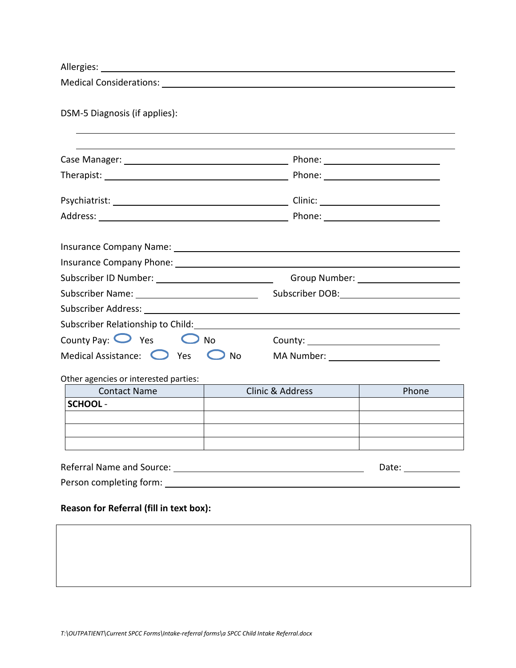| Allergies:                                                                                                    |                                                  |                  |              |  |
|---------------------------------------------------------------------------------------------------------------|--------------------------------------------------|------------------|--------------|--|
| Medical Considerations: National Constitutions of the Constitution of the Constitution of the Constitution of |                                                  |                  |              |  |
| DSM-5 Diagnosis (if applies):                                                                                 |                                                  |                  |              |  |
|                                                                                                               |                                                  |                  |              |  |
|                                                                                                               |                                                  |                  |              |  |
|                                                                                                               |                                                  |                  |              |  |
|                                                                                                               |                                                  |                  |              |  |
|                                                                                                               |                                                  |                  |              |  |
|                                                                                                               |                                                  |                  |              |  |
|                                                                                                               |                                                  |                  |              |  |
|                                                                                                               |                                                  |                  |              |  |
| Subscriber Relationship to Child: Management of Subscriber Relationship to Child:                             |                                                  |                  |              |  |
| County Pay: $\bigcirc$ Yes $\bigcirc$ No                                                                      |                                                  |                  |              |  |
|                                                                                                               | Medical Assistance: $\bigcirc$ Yes $\bigcirc$ No |                  |              |  |
| Other agencies or interested parties:                                                                         |                                                  |                  |              |  |
| <b>Contact Name</b>                                                                                           |                                                  | Clinic & Address | Phone        |  |
| <b>SCHOOL-</b>                                                                                                |                                                  |                  |              |  |
|                                                                                                               |                                                  |                  |              |  |
|                                                                                                               |                                                  |                  |              |  |
|                                                                                                               |                                                  |                  | Date: $\_\_$ |  |
|                                                                                                               |                                                  |                  |              |  |
|                                                                                                               |                                                  |                  |              |  |

## **Reason for Referral (fill in text box):**